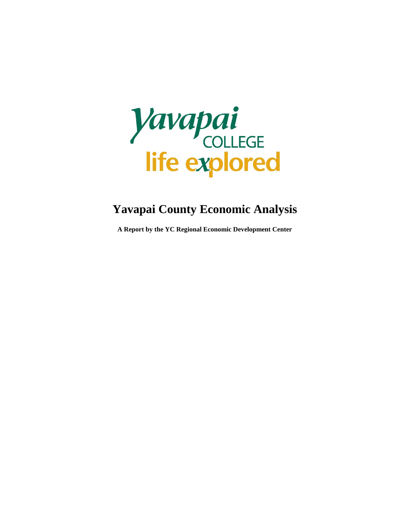

### **Yavapai County Economic Analysis**

**A Report by the YC Regional Economic Development Center**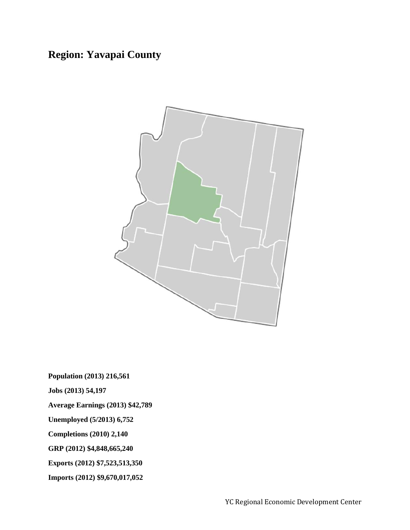### **Region: Yavapai County**



**Population (2013) 216,561**

**Jobs (2013) 54,197**

**Average Earnings (2013) \$42,789**

**Unemployed (5/2013) 6,752**

**Completions (2010) 2,140**

**GRP (2012) \$4,848,665,240**

**Exports (2012) \$7,523,513,350**

**Imports (2012) \$9,670,017,052**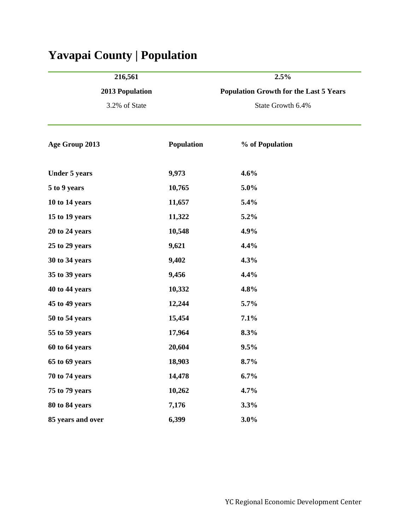| 216,561                                 |            | 2.5%                                          |  |  |  |
|-----------------------------------------|------------|-----------------------------------------------|--|--|--|
| <b>2013 Population</b><br>3.2% of State |            | <b>Population Growth for the Last 5 Years</b> |  |  |  |
|                                         |            | State Growth 6.4%                             |  |  |  |
| Age Group 2013                          | Population | % of Population                               |  |  |  |
| <b>Under 5 years</b>                    | 9,973      | 4.6%                                          |  |  |  |
| 5 to 9 years                            | 10,765     | 5.0%                                          |  |  |  |
| 10 to 14 years                          | 11,657     | 5.4%                                          |  |  |  |
| 15 to 19 years                          | 11,322     | 5.2%                                          |  |  |  |
| 20 to 24 years                          | 10,548     | 4.9%                                          |  |  |  |
| 25 to 29 years                          | 9,621      | 4.4%                                          |  |  |  |
| 30 to 34 years                          | 9,402      | 4.3%                                          |  |  |  |
| 35 to 39 years                          | 9,456      | 4.4%                                          |  |  |  |
| 40 to 44 years                          | 10,332     | 4.8%                                          |  |  |  |
| 45 to 49 years                          | 12,244     | 5.7%                                          |  |  |  |
| 50 to 54 years                          | 15,454     | 7.1%                                          |  |  |  |
| 55 to 59 years                          | 17,964     | 8.3%                                          |  |  |  |
| 60 to 64 years                          | 20,604     | 9.5%                                          |  |  |  |
| 65 to 69 years                          | 18,903     | 8.7%                                          |  |  |  |
| 70 to 74 years                          | 14,478     | 6.7%                                          |  |  |  |
| 75 to 79 years                          | 10,262     | 4.7%                                          |  |  |  |
| 80 to 84 years                          | 7,176      | 3.3%                                          |  |  |  |
| 85 years and over                       | 6,399      | 3.0%                                          |  |  |  |

# **Yavapai County | Population**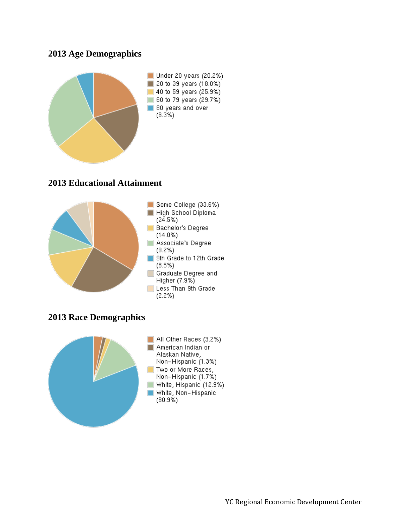#### **2013 Age Demographics**



#### **2013 Educational Attainment**



#### **2013 Race Demographics**

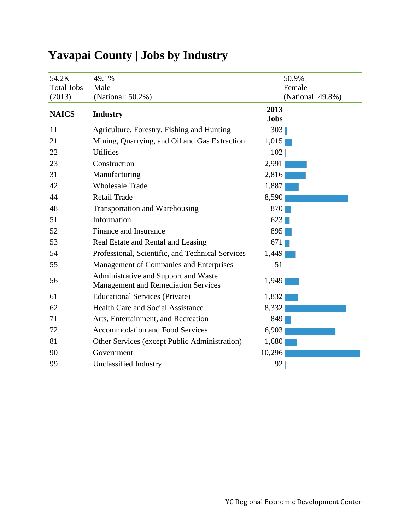| 54.2K             | 49.1%                                                                              | 50.9%               |
|-------------------|------------------------------------------------------------------------------------|---------------------|
| <b>Total Jobs</b> | Male                                                                               | Female              |
| (2013)            | (National: 50.2%)                                                                  | (National: 49.8%)   |
| <b>NAICS</b>      | <b>Industry</b>                                                                    | 2013<br><b>Jobs</b> |
| 11                | Agriculture, Forestry, Fishing and Hunting                                         | 303                 |
| 21                | Mining, Quarrying, and Oil and Gas Extraction                                      | 1,015               |
| 22                | <b>Utilities</b>                                                                   | 102                 |
| 23                | Construction                                                                       | 2,991               |
| 31                | Manufacturing                                                                      | 2,816               |
| 42                | <b>Wholesale Trade</b>                                                             | 1,887               |
| 44                | <b>Retail Trade</b>                                                                | 8,590               |
| 48                | <b>Transportation and Warehousing</b>                                              | 870                 |
| 51                | Information                                                                        | 623                 |
| 52                | Finance and Insurance                                                              | 895                 |
| 53                | Real Estate and Rental and Leasing                                                 | 671                 |
| 54                | Professional, Scientific, and Technical Services                                   | 1,449               |
| 55                | Management of Companies and Enterprises                                            | 51                  |
| 56                | Administrative and Support and Waste<br><b>Management and Remediation Services</b> | 1,949               |
| 61                | <b>Educational Services (Private)</b>                                              | 1,832               |
| 62                | <b>Health Care and Social Assistance</b>                                           | 8,332               |
| 71                | Arts, Entertainment, and Recreation                                                | 849                 |
| 72                | <b>Accommodation and Food Services</b>                                             | 6,903               |
| 81                | Other Services (except Public Administration)                                      | 1,680               |
| 90                | Government                                                                         | 10,296              |
| 99                | Unclassified Industry                                                              | 92                  |

## **Yavapai County | Jobs by Industry**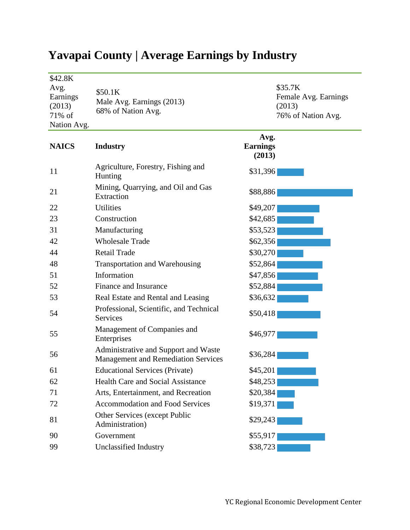| \$42.8K<br>Avg.<br>Earnings<br>(2013)<br>71% of<br>Nation Avg. | \$50.1K<br>Male Avg. Earnings (2013)<br>68% of Nation Avg.                         |                                   | \$35.7K<br>Female Avg. Earnings<br>(2013)<br>76% of Nation Avg. |
|----------------------------------------------------------------|------------------------------------------------------------------------------------|-----------------------------------|-----------------------------------------------------------------|
| <b>NAICS</b>                                                   | <b>Industry</b>                                                                    | Avg.<br><b>Earnings</b><br>(2013) |                                                                 |
| 11                                                             | Agriculture, Forestry, Fishing and<br>Hunting                                      | \$31,396                          |                                                                 |
| 21                                                             | Mining, Quarrying, and Oil and Gas<br>Extraction                                   | \$88,886                          |                                                                 |
| 22                                                             | Utilities                                                                          | \$49,207                          |                                                                 |
| 23                                                             | Construction                                                                       | \$42,685                          |                                                                 |
| 31                                                             | Manufacturing                                                                      | \$53,523                          |                                                                 |
| 42                                                             | <b>Wholesale Trade</b>                                                             | \$62,356                          |                                                                 |
| 44                                                             | <b>Retail Trade</b>                                                                | \$30,270                          |                                                                 |
| 48                                                             | <b>Transportation and Warehousing</b>                                              | \$52,864                          |                                                                 |
| 51                                                             | Information                                                                        | \$47,856                          |                                                                 |
| 52                                                             | Finance and Insurance                                                              | \$52,884                          |                                                                 |
| 53                                                             | Real Estate and Rental and Leasing                                                 | \$36,632                          |                                                                 |
| 54                                                             | Professional, Scientific, and Technical<br>Services                                | \$50,418                          |                                                                 |
| 55                                                             | Management of Companies and<br>Enterprises                                         | \$46,977                          |                                                                 |
| 56                                                             | Administrative and Support and Waste<br><b>Management and Remediation Services</b> | \$36,284                          |                                                                 |
| 61                                                             | <b>Educational Services (Private)</b>                                              | \$45,201                          |                                                                 |
| 62                                                             | <b>Health Care and Social Assistance</b>                                           | \$48,253                          |                                                                 |
| 71                                                             | Arts, Entertainment, and Recreation                                                | \$20,384                          |                                                                 |
| 72                                                             | Accommodation and Food Services                                                    | \$19,371                          |                                                                 |
| 81                                                             | Other Services (except Public<br>Administration)                                   | \$29,243                          |                                                                 |
| 90                                                             | Government                                                                         | \$55,917                          |                                                                 |
| 99                                                             | Unclassified Industry                                                              | \$38,723                          |                                                                 |

## **Yavapai County | Average Earnings by Industry**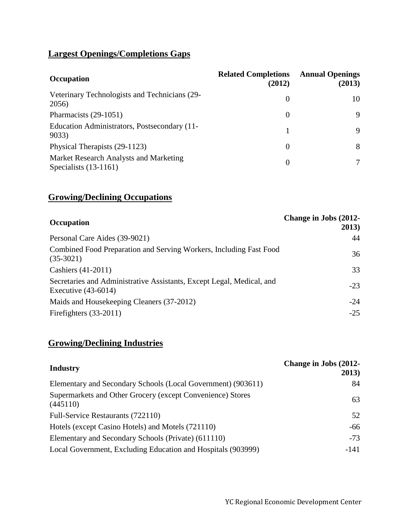#### **Largest Openings/Completions Gaps**

| <b>Occupation</b>                                                 | <b>Related Completions</b><br>(2012) | <b>Annual Openings</b><br>(2013) |
|-------------------------------------------------------------------|--------------------------------------|----------------------------------|
| Veterinary Technologists and Technicians (29-<br>2056)            | $\Omega$                             | 10                               |
| Pharmacists (29-1051)                                             | $\theta$                             | 9                                |
| Education Administrators, Postsecondary (11-<br>9033)             |                                      | 9                                |
| Physical Therapists (29-1123)                                     | $\Omega$                             | 8                                |
| Market Research Analysts and Marketing<br>Specialists $(13-1161)$ | $\Omega$                             |                                  |

#### **Growing/Declining Occupations**

| <b>Occupation</b>                                                                              | Change in Jobs (2012-<br>2013) |
|------------------------------------------------------------------------------------------------|--------------------------------|
| Personal Care Aides (39-9021)                                                                  | 44                             |
| Combined Food Preparation and Serving Workers, Including Fast Food<br>$(35-3021)$              | 36                             |
| Cashiers $(41-2011)$                                                                           | 33                             |
| Secretaries and Administrative Assistants, Except Legal, Medical, and<br>Executive $(43-6014)$ | $-23$                          |
| Maids and Housekeeping Cleaners (37-2012)<br>Firefighters (33-2011)                            | $-24$<br>$-25$                 |

#### **Growing/Declining Industries**

| <b>Industry</b>                                                        | Change in Jobs (2012-<br>2013) |
|------------------------------------------------------------------------|--------------------------------|
| Elementary and Secondary Schools (Local Government) (903611)           | 84                             |
| Supermarkets and Other Grocery (except Convenience) Stores<br>(445110) | 63                             |
| Full-Service Restaurants (722110)                                      | 52                             |
| Hotels (except Casino Hotels) and Motels (721110)                      | $-66$                          |
| Elementary and Secondary Schools (Private) (611110)                    | $-73$                          |
| Local Government, Excluding Education and Hospitals (903999)           | -141                           |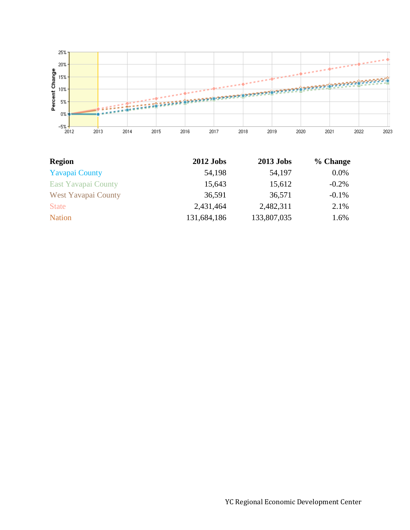

| <b>Region</b>              | <b>2012 Jobs</b> | <b>2013 Jobs</b> | % Change |
|----------------------------|------------------|------------------|----------|
| <b>Yavapai County</b>      | 54,198           | 54,197           | $0.0\%$  |
| <b>East Yavapai County</b> | 15,643           | 15,612           | $-0.2\%$ |
| <b>West Yavapai County</b> | 36,591           | 36,571           | $-0.1%$  |
| <b>State</b>               | 2,431,464        | 2,482,311        | 2.1%     |
| <b>Nation</b>              | 131,684,186      | 133,807,035      | 1.6%     |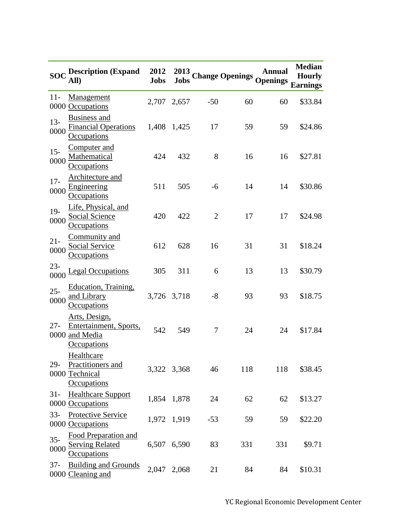|                | $\overline{SOC}$ Description (Expand 2012<br>All)                               | <b>Jobs</b> |             |       |     | 2013 Change Openings Openings | <b>Median</b><br><b>Hourly</b><br><b>Earnings</b> |
|----------------|---------------------------------------------------------------------------------|-------------|-------------|-------|-----|-------------------------------|---------------------------------------------------|
| $11-$          | Management<br>0000 Occupations                                                  |             | 2,707 2,657 | $-50$ | 60  | 60                            | \$33.84                                           |
| $13 -$<br>0000 | <b>Business and</b><br><b>Financial Operations</b><br>Occupations               | 1,408 1,425 |             | 17    | 59  | 59                            | \$24.86                                           |
| $15 -$<br>0000 | Computer and<br>Mathematical<br><b>Occupations</b>                              | 424         | 432         | 8     | 16  | 16                            | \$27.81                                           |
| $17 -$<br>0000 | <b>Architecture and</b><br>Engineering<br><b>Occupations</b>                    | 511         | 505         | $-6$  | 14  | 14                            | \$30.86                                           |
| $19-$<br>0000  | Life, Physical, and<br><b>Social Science</b><br>Occupations                     | 420         | 422         | 2     | 17  | 17                            | \$24.98                                           |
| $21 -$<br>0000 | Community and<br><b>Social Service</b><br>Occupations                           | 612         | 628         | 16    | 31  | 31                            | \$18.24                                           |
| $23 -$<br>0000 | <b>Legal Occupations</b>                                                        | 305         | 311         | 6     | 13  | 13                            | \$30.79                                           |
| $25 -$<br>0000 | Education, Training,<br>and Library<br>Occupations                              | 3,726 3,718 |             | $-8$  | 93  | 93                            | \$18.75                                           |
| $27 -$         | Arts, Design,<br>Entertainment, Sports,<br>0000 and Media<br><u>Occupations</u> | 542         | 549         | 7     | 24  | 24                            | \$17.84                                           |
| $29-$          | Healthcare<br>Practitioners and<br>0000 Technical<br><b>Occupations</b>         |             | 3,322 3,368 | 46    | 118 | 118                           | \$38.45                                           |
| $31 -$         | <b>Healthcare Support</b><br>0000 Occupations                                   |             | 1,854 1,878 | 24    | 62  | 62                            | \$13.27                                           |
| $33 -$         | Protective Service<br>0000 Occupations                                          |             | 1,972 1,919 | $-53$ | 59  | 59                            | \$22.20                                           |
| $35 -$<br>0000 | Food Preparation and<br><b>Serving Related</b><br>Occupations                   |             | 6,507 6,590 | 83    | 331 | 331                           | \$9.71                                            |
| $37 -$         | <b>Building and Grounds</b><br>0000 Cleaning and                                | 2,047 2,068 |             | 21    | 84  | 84                            | \$10.31                                           |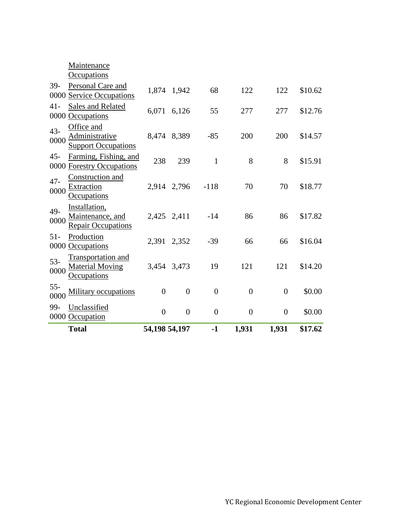|                | <b>Total</b>                                                   | 54,198 54,197  |                | $-1$           | 1,931            | 1,931          | \$17.62 |
|----------------|----------------------------------------------------------------|----------------|----------------|----------------|------------------|----------------|---------|
| 99-            | Unclassified<br>0000 Occupation                                | $\overline{0}$ | $\theta$       | $\overline{0}$ | $\boldsymbol{0}$ | $\overline{0}$ | \$0.00  |
| $55 -$<br>0000 | <b>Military occupations</b>                                    | $\theta$       | $\overline{0}$ | $\overline{0}$ | $\overline{0}$   | $\overline{0}$ | \$0.00  |
| $53-$<br>0000  | Transportation and<br><b>Material Moving</b><br>Occupations    |                | 3,454 3,473    | 19             | 121              | 121            | \$14.20 |
| $51 -$         | Production<br>0000 Occupations                                 |                | 2,391 2,352    | $-39$          | 66               | 66             | \$16.04 |
| 49-<br>0000    | Installation,<br>Maintenance, and<br><b>Repair Occupations</b> |                | 2,425 2,411    | $-14$          | 86               | 86             | \$17.82 |
| $47 -$<br>0000 | Construction and<br>Extraction<br><b>Occupations</b>           |                | 2,914 2,796    | $-118$         | 70               | 70             | \$18.77 |
| $45 -$         | Farming, Fishing, and<br>0000 Forestry Occupations             | 238            | 239            | $\mathbf{1}$   | 8                | 8              | \$15.91 |
| $43 -$<br>0000 | Office and<br>Administrative<br><b>Support Occupations</b>     |                | 8,474 8,389    | $-85$          | 200              | 200            | \$14.57 |
| $41 -$         | <b>Sales and Related</b><br>0000 Occupations                   |                | 6,071 6,126    | 55             | 277              | 277            | \$12.76 |
| 39-            | Personal Care and<br>0000 Service Occupations                  |                | 1,874 1,942    | 68             | 122              | 122            | \$10.62 |
|                | Maintenance<br><b>Occupations</b>                              |                |                |                |                  |                |         |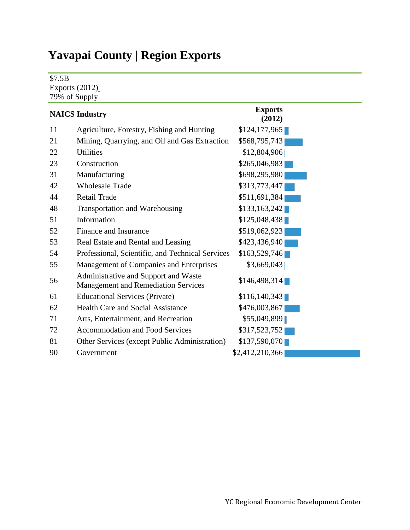## **Yavapai County | Region Exports**

\$7.5B

Exports (2012[\)](https://west.economicmodeling.com/analyst/tooltip.php?tipID=ExportsPopupExportsHeadline) 79% of Supply

|    | <b>NAICS Industry</b>                                                              | <b>Exports</b><br>(2012) |
|----|------------------------------------------------------------------------------------|--------------------------|
| 11 | Agriculture, Forestry, Fishing and Hunting                                         | \$124,177,965            |
| 21 | Mining, Quarrying, and Oil and Gas Extraction                                      | \$568,795,743            |
| 22 | <b>Utilities</b>                                                                   | \$12,804,906             |
| 23 | Construction                                                                       | \$265,046,983            |
| 31 | Manufacturing                                                                      | \$698,295,980            |
| 42 | <b>Wholesale Trade</b>                                                             | \$313,773,447            |
| 44 | <b>Retail Trade</b>                                                                | \$511,691,384            |
| 48 | Transportation and Warehousing                                                     | \$133,163,242            |
| 51 | Information                                                                        | \$125,048,438            |
| 52 | Finance and Insurance                                                              | \$519,062,923            |
| 53 | Real Estate and Rental and Leasing                                                 | \$423,436,940            |
| 54 | Professional, Scientific, and Technical Services                                   | \$163,529,746            |
| 55 | Management of Companies and Enterprises                                            | \$3,669,043              |
| 56 | Administrative and Support and Waste<br><b>Management and Remediation Services</b> | \$146,498,314            |
| 61 | <b>Educational Services (Private)</b>                                              | \$116,140,343            |
| 62 | <b>Health Care and Social Assistance</b>                                           | \$476,003,867            |
| 71 | Arts, Entertainment, and Recreation                                                | \$55,049,899             |
| 72 | <b>Accommodation and Food Services</b>                                             | \$317,523,752            |
| 81 | Other Services (except Public Administration)                                      | \$137,590,070            |
| 90 | Government                                                                         | \$2,412,210,366          |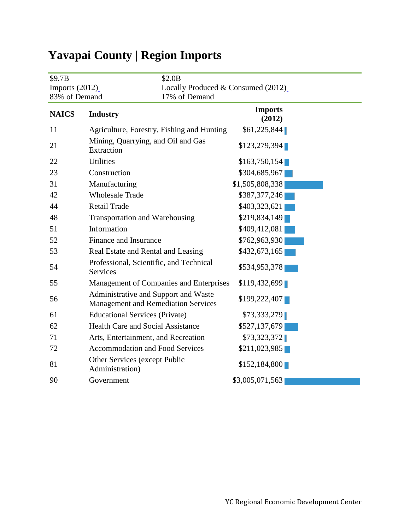| \$2.0B<br>\$9.7B<br>Imports $(2012)$<br>83% of Demand |                                                                                    | Locally Produced & Consumed (2012)<br>17% of Demand |
|-------------------------------------------------------|------------------------------------------------------------------------------------|-----------------------------------------------------|
| <b>NAICS</b>                                          | <b>Industry</b>                                                                    | <b>Imports</b><br>(2012)                            |
| 11                                                    | Agriculture, Forestry, Fishing and Hunting                                         | \$61,225,844                                        |
| 21                                                    | Mining, Quarrying, and Oil and Gas<br>Extraction                                   | \$123,279,394                                       |
| 22                                                    | <b>Utilities</b>                                                                   | \$163,750,154                                       |
| 23                                                    | Construction                                                                       | \$304,685,967                                       |
| 31                                                    | Manufacturing                                                                      | \$1,505,808,338                                     |
| 42                                                    | <b>Wholesale Trade</b>                                                             | \$387,377,246                                       |
| 44                                                    | <b>Retail Trade</b>                                                                | \$403,323,621                                       |
| 48                                                    | <b>Transportation and Warehousing</b>                                              | \$219,834,149                                       |
| 51                                                    | Information                                                                        | \$409,412,081                                       |
| 52                                                    | Finance and Insurance                                                              | \$762,963,930                                       |
| 53                                                    | Real Estate and Rental and Leasing                                                 | \$432,673,165                                       |
| 54                                                    | Professional, Scientific, and Technical<br><b>Services</b>                         | \$534,953,378                                       |
| 55                                                    | Management of Companies and Enterprises                                            | \$119,432,699                                       |
| 56                                                    | Administrative and Support and Waste<br><b>Management and Remediation Services</b> | \$199,222,407                                       |
| 61                                                    | <b>Educational Services (Private)</b>                                              | \$73,333,279                                        |
| 62                                                    | <b>Health Care and Social Assistance</b>                                           | \$527,137,679                                       |
| 71                                                    | Arts, Entertainment, and Recreation                                                | \$73,323,372                                        |
| 72                                                    | <b>Accommodation and Food Services</b>                                             | \$211,023,985                                       |
| 81                                                    | Other Services (except Public<br>Administration)                                   | \$152,184,800                                       |
| 90                                                    | Government                                                                         | \$3,005,071,563                                     |

# **Yavapai County | Region Imports**